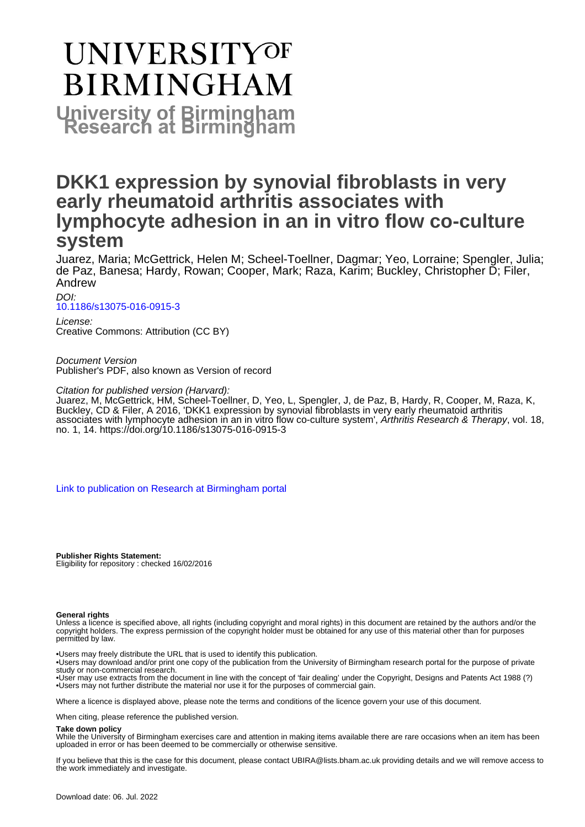# UNIVERSITYOF **BIRMINGHAM University of Birmingham**

## **DKK1 expression by synovial fibroblasts in very early rheumatoid arthritis associates with lymphocyte adhesion in an in vitro flow co-culture system**

Juarez, Maria; McGettrick, Helen M; Scheel-Toellner, Dagmar; Yeo, Lorraine; Spengler, Julia; de Paz, Banesa; Hardy, Rowan; Cooper, Mark; Raza, Karim; Buckley, Christopher D; Filer, Andrew

DOI: [10.1186/s13075-016-0915-3](https://doi.org/10.1186/s13075-016-0915-3)

License: Creative Commons: Attribution (CC BY)

Document Version Publisher's PDF, also known as Version of record

#### Citation for published version (Harvard):

Juarez, M, McGettrick, HM, Scheel-Toellner, D, Yeo, L, Spengler, J, de Paz, B, Hardy, R, Cooper, M, Raza, K, Buckley, CD & Filer, A 2016, 'DKK1 expression by synovial fibroblasts in very early rheumatoid arthritis associates with lymphocyte adhesion in an in vitro flow co-culture system', Arthritis Research & Therapy, vol. 18, no. 1, 14.<https://doi.org/10.1186/s13075-016-0915-3>

[Link to publication on Research at Birmingham portal](https://birmingham.elsevierpure.com/en/publications/7894f290-67d5-4b9c-a380-fef0714f2f53)

**Publisher Rights Statement:** Eligibility for repository : checked 16/02/2016

#### **General rights**

Unless a licence is specified above, all rights (including copyright and moral rights) in this document are retained by the authors and/or the copyright holders. The express permission of the copyright holder must be obtained for any use of this material other than for purposes permitted by law.

• Users may freely distribute the URL that is used to identify this publication.

• Users may download and/or print one copy of the publication from the University of Birmingham research portal for the purpose of private study or non-commercial research.

• User may use extracts from the document in line with the concept of 'fair dealing' under the Copyright, Designs and Patents Act 1988 (?) • Users may not further distribute the material nor use it for the purposes of commercial gain.

Where a licence is displayed above, please note the terms and conditions of the licence govern your use of this document.

When citing, please reference the published version.

#### **Take down policy**

While the University of Birmingham exercises care and attention in making items available there are rare occasions when an item has been uploaded in error or has been deemed to be commercially or otherwise sensitive.

If you believe that this is the case for this document, please contact UBIRA@lists.bham.ac.uk providing details and we will remove access to the work immediately and investigate.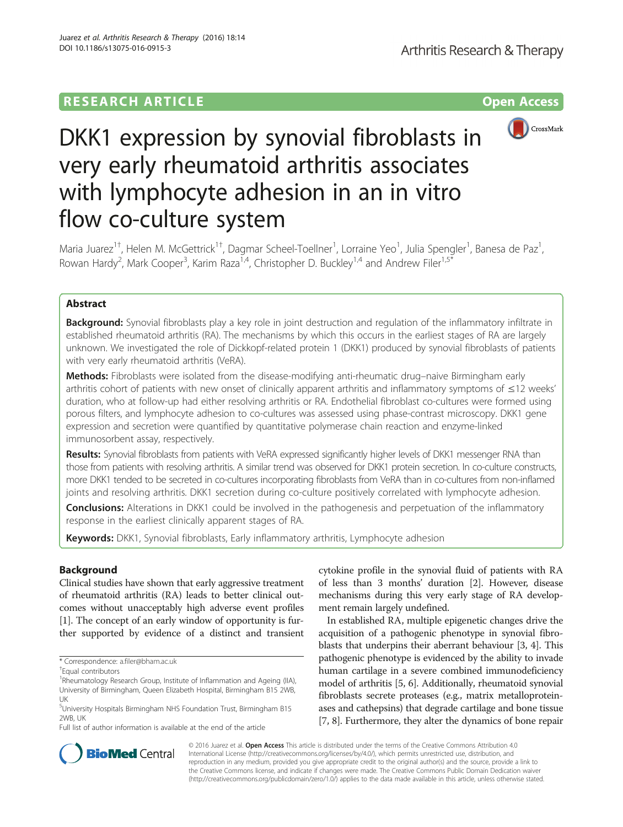### **RESEARCH ARTICLE Example 2014 12:30 The Contract of Contract ACCESS**



## DKK1 expression by synovial fibroblasts in very early rheumatoid arthritis associates with lymphocyte adhesion in an in vitro flow co-culture system

Maria Juarez<sup>1†</sup>, Helen M. McGettrick<sup>1†</sup>, Dagmar Scheel-Toellner<sup>1</sup>, Lorraine Yeo<sup>1</sup>, Julia Spengler<sup>1</sup>, Banesa de Paz<sup>1</sup> , Rowan Hardy<sup>2</sup>, Mark Cooper<sup>3</sup>, Karim Raza<sup>1,4</sup>, Christopher D. Buckley<sup>1,4</sup> and Andrew Filer<sup>1,5\*</sup>

#### Abstract

**Background:** Synovial fibroblasts play a key role in joint destruction and regulation of the inflammatory infiltrate in established rheumatoid arthritis (RA). The mechanisms by which this occurs in the earliest stages of RA are largely unknown. We investigated the role of Dickkopf-related protein 1 (DKK1) produced by synovial fibroblasts of patients with very early rheumatoid arthritis (VeRA).

Methods: Fibroblasts were isolated from the disease-modifying anti-rheumatic drug-naive Birmingham early arthritis cohort of patients with new onset of clinically apparent arthritis and inflammatory symptoms of ≤12 weeks' duration, who at follow-up had either resolving arthritis or RA. Endothelial fibroblast co-cultures were formed using porous filters, and lymphocyte adhesion to co-cultures was assessed using phase-contrast microscopy. DKK1 gene expression and secretion were quantified by quantitative polymerase chain reaction and enzyme-linked immunosorbent assay, respectively.

Results: Synovial fibroblasts from patients with VeRA expressed significantly higher levels of DKK1 messenger RNA than those from patients with resolving arthritis. A similar trend was observed for DKK1 protein secretion. In co-culture constructs, more DKK1 tended to be secreted in co-cultures incorporating fibroblasts from VeRA than in co-cultures from non-inflamed joints and resolving arthritis. DKK1 secretion during co-culture positively correlated with lymphocyte adhesion.

**Conclusions:** Alterations in DKK1 could be involved in the pathogenesis and perpetuation of the inflammatory response in the earliest clinically apparent stages of RA.

Keywords: DKK1, Synovial fibroblasts, Early inflammatory arthritis, Lymphocyte adhesion

#### Background

Clinical studies have shown that early aggressive treatment of rheumatoid arthritis (RA) leads to better clinical outcomes without unacceptably high adverse event profiles [[1\]](#page-5-0). The concept of an early window of opportunity is further supported by evidence of a distinct and transient

Full list of author information is available at the end of the article

cytokine profile in the synovial fluid of patients with RA of less than 3 months' duration [\[2](#page-5-0)]. However, disease mechanisms during this very early stage of RA development remain largely undefined.

In established RA, multiple epigenetic changes drive the acquisition of a pathogenic phenotype in synovial fibroblasts that underpins their aberrant behaviour [\[3](#page-5-0), [4](#page-5-0)]. This pathogenic phenotype is evidenced by the ability to invade human cartilage in a severe combined immunodeficiency model of arthritis [[5, 6](#page-5-0)]. Additionally, rheumatoid synovial fibroblasts secrete proteases (e.g., matrix metalloproteinases and cathepsins) that degrade cartilage and bone tissue [[7, 8](#page-5-0)]. Furthermore, they alter the dynamics of bone repair



© 2016 Juarez et al. Open Access This article is distributed under the terms of the Creative Commons Attribution 4.0 International License [\(http://creativecommons.org/licenses/by/4.0/](http://creativecommons.org/licenses/by/4.0/)), which permits unrestricted use, distribution, and reproduction in any medium, provided you give appropriate credit to the original author(s) and the source, provide a link to the Creative Commons license, and indicate if changes were made. The Creative Commons Public Domain Dedication waiver [\(http://creativecommons.org/publicdomain/zero/1.0/](http://creativecommons.org/publicdomain/zero/1.0/)) applies to the data made available in this article, unless otherwise stated.

<sup>\*</sup> Correspondence: [a.filer@bham.ac.uk](mailto:a.filer@bham.ac.uk) †

Equal contributors

<sup>&</sup>lt;sup>1</sup>Rheumatology Research Group, Institute of Inflammation and Ageing (IIA), University of Birmingham, Queen Elizabeth Hospital, Birmingham B15 2WB, UK

<sup>5</sup> University Hospitals Birmingham NHS Foundation Trust, Birmingham B15 2WB, UK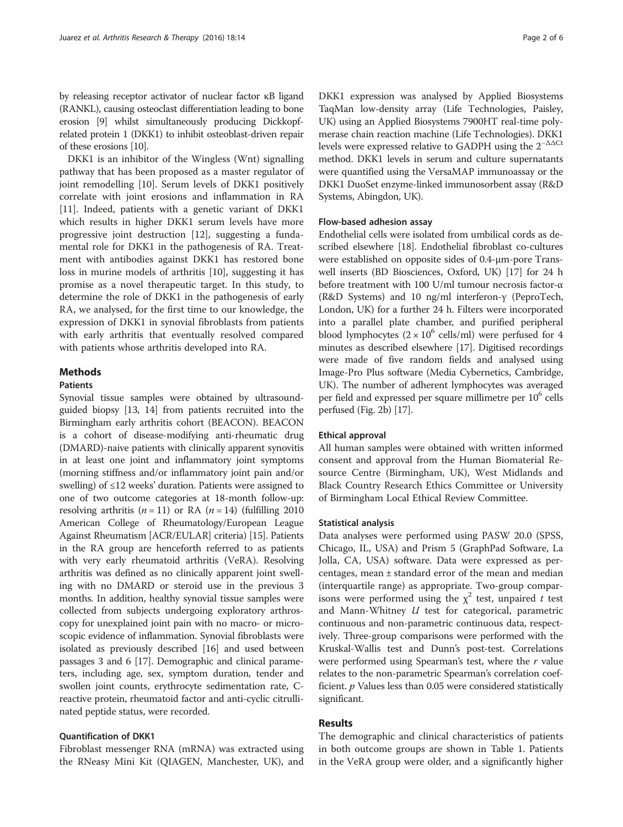by releasing receptor activator of nuclear factor κB ligand (RANKL), causing osteoclast differentiation leading to bone erosion [\[9\]](#page-5-0) whilst simultaneously producing Dickkopfrelated protein 1 (DKK1) to inhibit osteoblast-driven repair of these erosions [[10](#page-5-0)].

DKK1 is an inhibitor of the Wingless (Wnt) signalling pathway that has been proposed as a master regulator of joint remodelling [\[10](#page-5-0)]. Serum levels of DKK1 positively correlate with joint erosions and inflammation in RA [[11\]](#page-5-0). Indeed, patients with a genetic variant of DKK1 which results in higher DKK1 serum levels have more progressive joint destruction [\[12\]](#page-5-0), suggesting a fundamental role for DKK1 in the pathogenesis of RA. Treatment with antibodies against DKK1 has restored bone loss in murine models of arthritis [\[10\]](#page-5-0), suggesting it has promise as a novel therapeutic target. In this study, to determine the role of DKK1 in the pathogenesis of early RA, we analysed, for the first time to our knowledge, the expression of DKK1 in synovial fibroblasts from patients with early arthritis that eventually resolved compared with patients whose arthritis developed into RA.

#### Methods

#### **Patients**

Synovial tissue samples were obtained by ultrasoundguided biopsy [[13](#page-5-0), [14\]](#page-5-0) from patients recruited into the Birmingham early arthritis cohort (BEACON). BEACON is a cohort of disease-modifying anti-rheumatic drug (DMARD)-naive patients with clinically apparent synovitis in at least one joint and inflammatory joint symptoms (morning stiffness and/or inflammatory joint pain and/or swelling) of ≤12 weeks' duration. Patients were assigned to one of two outcome categories at 18-month follow-up: resolving arthritis  $(n = 11)$  or RA  $(n = 14)$  (fulfilling 2010) American College of Rheumatology/European League Against Rheumatism [ACR/EULAR] criteria) [\[15](#page-5-0)]. Patients in the RA group are henceforth referred to as patients with very early rheumatoid arthritis (VeRA). Resolving arthritis was defined as no clinically apparent joint swelling with no DMARD or steroid use in the previous 3 months. In addition, healthy synovial tissue samples were collected from subjects undergoing exploratory arthroscopy for unexplained joint pain with no macro- or microscopic evidence of inflammation. Synovial fibroblasts were isolated as previously described [[16](#page-5-0)] and used between passages 3 and 6 [[17](#page-6-0)]. Demographic and clinical parameters, including age, sex, symptom duration, tender and swollen joint counts, erythrocyte sedimentation rate, Creactive protein, rheumatoid factor and anti-cyclic citrullinated peptide status, were recorded.

#### Quantification of DKK1

Fibroblast messenger RNA (mRNA) was extracted using the RNeasy Mini Kit (QIAGEN, Manchester, UK), and DKK1 expression was analysed by Applied Biosystems TaqMan low-density array (Life Technologies, Paisley, UK) using an Applied Biosystems 7900HT real-time polymerase chain reaction machine (Life Technologies). DKK1 levels were expressed relative to GADPH using the 2−ΔΔCt method. DKK1 levels in serum and culture supernatants were quantified using the VersaMAP immunoassay or the DKK1 DuoSet enzyme-linked immunosorbent assay (R&D Systems, Abingdon, UK).

#### Flow-based adhesion assay

Endothelial cells were isolated from umbilical cords as described elsewhere [[18](#page-6-0)]. Endothelial fibroblast co-cultures were established on opposite sides of 0.4-μm-pore Transwell inserts (BD Biosciences, Oxford, UK) [[17](#page-6-0)] for 24 h before treatment with 100 U/ml tumour necrosis factor-α (R&D Systems) and 10 ng/ml interferon-γ (PeproTech, London, UK) for a further 24 h. Filters were incorporated into a parallel plate chamber, and purified peripheral blood lymphocytes  $(2 \times 10^6 \text{ cells/ml})$  were perfused for 4 minutes as described elsewhere [\[17\]](#page-6-0). Digitised recordings were made of five random fields and analysed using Image-Pro Plus software (Media Cybernetics, Cambridge, UK). The number of adherent lymphocytes was averaged per field and expressed per square millimetre per 10<sup>6</sup> cells perfused (Fig. [2b](#page-4-0)) [\[17\]](#page-6-0).

#### Ethical approval

All human samples were obtained with written informed consent and approval from the Human Biomaterial Resource Centre (Birmingham, UK), West Midlands and Black Country Research Ethics Committee or University of Birmingham Local Ethical Review Committee.

#### Statistical analysis

Data analyses were performed using PASW 20.0 (SPSS, Chicago, IL, USA) and Prism 5 (GraphPad Software, La Jolla, CA, USA) software. Data were expressed as percentages, mean ± standard error of the mean and median (interquartile range) as appropriate. Two-group comparisons were performed using the  $\chi^2$  test, unpaired t test and Mann-Whitney  $U$  test for categorical, parametric continuous and non-parametric continuous data, respectively. Three-group comparisons were performed with the Kruskal-Wallis test and Dunn's post-test. Correlations were performed using Spearman's test, where the  $r$  value relates to the non-parametric Spearman's correlation coefficient.  $p$  Values less than 0.05 were considered statistically significant.

#### Results

The demographic and clinical characteristics of patients in both outcome groups are shown in Table [1](#page-3-0). Patients in the VeRA group were older, and a significantly higher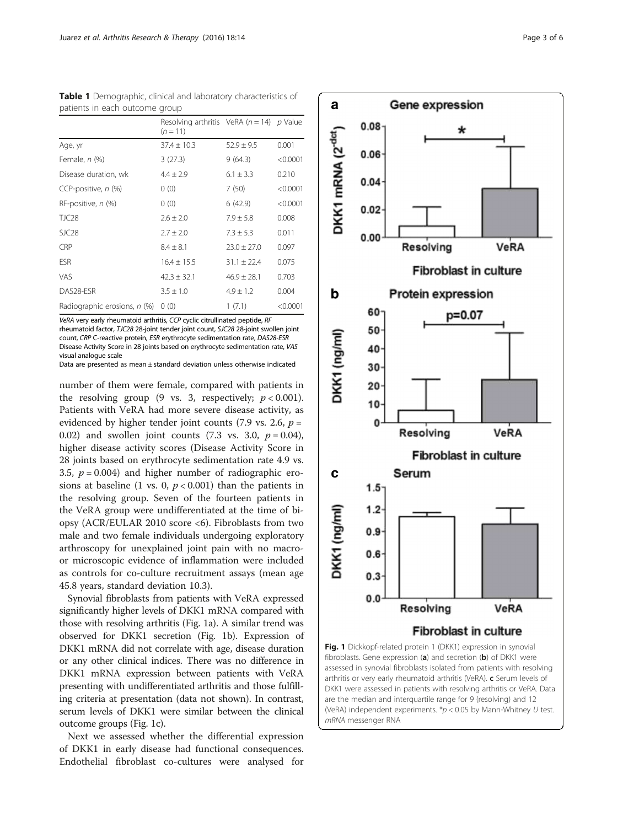| patients in each battonic group |                                                             |                 |          |
|---------------------------------|-------------------------------------------------------------|-----------------|----------|
|                                 | Resolving arthritis VeRA ( $n = 14$ ) p Value<br>$(n = 11)$ |                 |          |
| Age, yr                         | $37.4 \pm 10.3$                                             | $52.9 \pm 9.5$  | 0.001    |
| Female, $n$ (%)                 | 3(27.3)                                                     | 9(64.3)         | < 0.0001 |
| Disease duration, wk            | $4.4 \pm 2.9$                                               | $6.1 \pm 3.3$   | 0.210    |
| CCP-positive, n (%)             | 0(0)                                                        | 7(50)           | < 0.0001 |
| RF-positive, $n$ (%)            | 0(0)                                                        | 6(42.9)         | < 0.0001 |
| TJC <sub>28</sub>               | $2.6 \pm 2.0$                                               | $7.9 \pm 5.8$   | 0.008    |
| SJC <sub>28</sub>               | $2.7 \pm 2.0$                                               | $7.3 \pm 5.3$   | 0.011    |
| <b>CRP</b>                      | $8.4 \pm 8.1$                                               | $23.0 \pm 27.0$ | 0.097    |
| <b>ESR</b>                      | $16.4 \pm 15.5$                                             | $31.1 \pm 22.4$ | 0.075    |
| VAS                             | $42.3 \pm 32.1$                                             | $46.9 \pm 28.1$ | 0.703    |
| DAS28-ESR                       | $3.5 \pm 1.0$                                               | $4.9 \pm 1.2$   | 0.004    |
| Radiographic erosions, n (%)    | 0(0)                                                        | 1(7.1)          | < 0.0001 |

<span id="page-3-0"></span>Table 1 Demographic, clinical and laboratory characteristics of patients in each outcome group

VeRA very early rheumatoid arthritis, CCP cyclic citrullinated peptide, RF

rheumatoid factor, TJC28 28-joint tender joint count, SJC28 28-joint swollen joint count, CRP C-reactive protein, ESR erythrocyte sedimentation rate, DAS28-ESR Disease Activity Score in 28 joints based on erythrocyte sedimentation rate, VAS visual analogue scale

Data are presented as mean ± standard deviation unless otherwise indicated

number of them were female, compared with patients in the resolving group (9 vs. 3, respectively;  $p < 0.001$ ). Patients with VeRA had more severe disease activity, as evidenced by higher tender joint counts (7.9 vs. 2.6,  $p =$ 0.02) and swollen joint counts  $(7.3 \text{ vs. } 3.0, p = 0.04)$ , higher disease activity scores (Disease Activity Score in 28 joints based on erythrocyte sedimentation rate 4.9 vs. 3.5,  $p = 0.004$ ) and higher number of radiographic erosions at baseline (1 vs. 0,  $p < 0.001$ ) than the patients in the resolving group. Seven of the fourteen patients in the VeRA group were undifferentiated at the time of biopsy (ACR/EULAR 2010 score <6). Fibroblasts from two male and two female individuals undergoing exploratory arthroscopy for unexplained joint pain with no macroor microscopic evidence of inflammation were included as controls for co-culture recruitment assays (mean age 45.8 years, standard deviation 10.3).

Synovial fibroblasts from patients with VeRA expressed significantly higher levels of DKK1 mRNA compared with those with resolving arthritis (Fig. 1a). A similar trend was observed for DKK1 secretion (Fig. 1b). Expression of DKK1 mRNA did not correlate with age, disease duration or any other clinical indices. There was no difference in DKK1 mRNA expression between patients with VeRA presenting with undifferentiated arthritis and those fulfilling criteria at presentation (data not shown). In contrast, serum levels of DKK1 were similar between the clinical outcome groups (Fig. 1c).

Next we assessed whether the differential expression of DKK1 in early disease had functional consequences. Endothelial fibroblast co-cultures were analysed for



assessed in synovial fibroblasts isolated from patients with resolving arthritis or very early rheumatoid arthritis (VeRA). c Serum levels of DKK1 were assessed in patients with resolving arthritis or VeRA. Data are the median and interquartile range for 9 (resolving) and 12 (VeRA) independent experiments.  $p < 0.05$  by Mann-Whitney U test. mRNA messenger RNA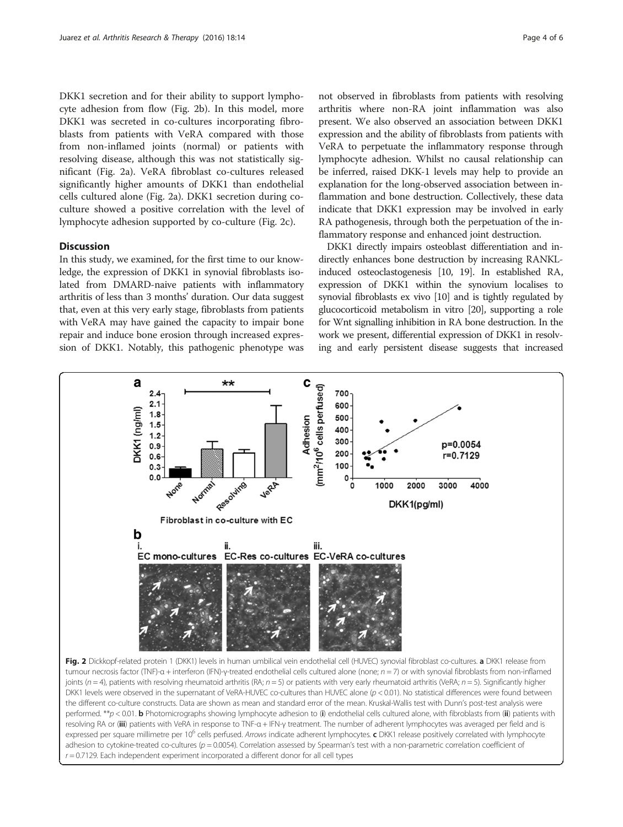<span id="page-4-0"></span>DKK1 secretion and for their ability to support lymphocyte adhesion from flow (Fig. 2b). In this model, more DKK1 was secreted in co-cultures incorporating fibroblasts from patients with VeRA compared with those from non-inflamed joints (normal) or patients with resolving disease, although this was not statistically significant (Fig. 2a). VeRA fibroblast co-cultures released significantly higher amounts of DKK1 than endothelial cells cultured alone (Fig. 2a). DKK1 secretion during coculture showed a positive correlation with the level of lymphocyte adhesion supported by co-culture (Fig. 2c).

#### **Discussion**

In this study, we examined, for the first time to our knowledge, the expression of DKK1 in synovial fibroblasts isolated from DMARD-naive patients with inflammatory arthritis of less than 3 months' duration. Our data suggest that, even at this very early stage, fibroblasts from patients with VeRA may have gained the capacity to impair bone repair and induce bone erosion through increased expression of DKK1. Notably, this pathogenic phenotype was

not observed in fibroblasts from patients with resolving arthritis where non-RA joint inflammation was also present. We also observed an association between DKK1 expression and the ability of fibroblasts from patients with VeRA to perpetuate the inflammatory response through lymphocyte adhesion. Whilst no causal relationship can be inferred, raised DKK-1 levels may help to provide an explanation for the long-observed association between inflammation and bone destruction. Collectively, these data indicate that DKK1 expression may be involved in early RA pathogenesis, through both the perpetuation of the inflammatory response and enhanced joint destruction.

DKK1 directly impairs osteoblast differentiation and indirectly enhances bone destruction by increasing RANKLinduced osteoclastogenesis [\[10](#page-5-0), [19\]](#page-6-0). In established RA, expression of DKK1 within the synovium localises to synovial fibroblasts ex vivo [\[10](#page-5-0)] and is tightly regulated by glucocorticoid metabolism in vitro [\[20\]](#page-6-0), supporting a role for Wnt signalling inhibition in RA bone destruction. In the work we present, differential expression of DKK1 in resolving and early persistent disease suggests that increased



 $r = 0.7129$ . Each independent experiment incorporated a different donor for all cell types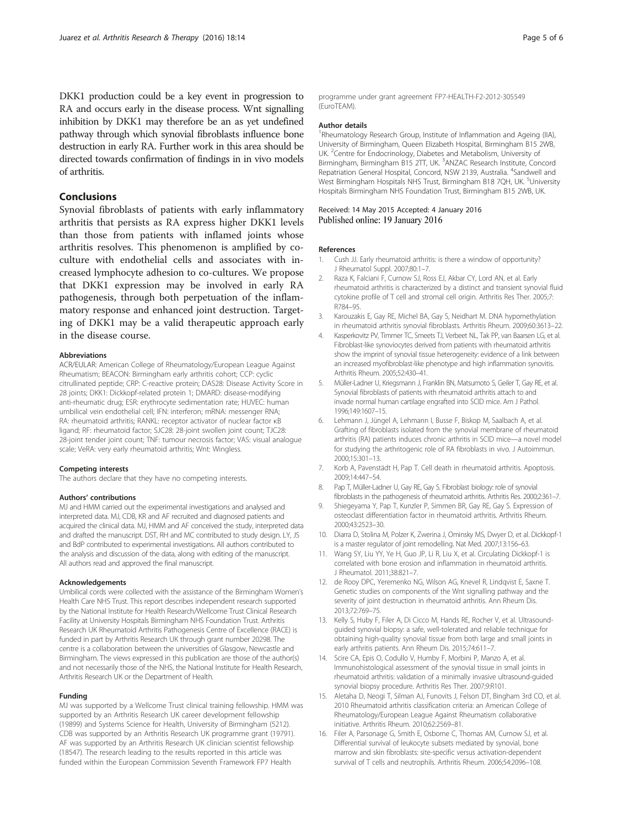<span id="page-5-0"></span>DKK1 production could be a key event in progression to RA and occurs early in the disease process. Wnt signalling inhibition by DKK1 may therefore be an as yet undefined pathway through which synovial fibroblasts influence bone destruction in early RA. Further work in this area should be directed towards confirmation of findings in in vivo models of arthritis.

#### Conclusions

Synovial fibroblasts of patients with early inflammatory arthritis that persists as RA express higher DKK1 levels than those from patients with inflamed joints whose arthritis resolves. This phenomenon is amplified by coculture with endothelial cells and associates with increased lymphocyte adhesion to co-cultures. We propose that DKK1 expression may be involved in early RA pathogenesis, through both perpetuation of the inflammatory response and enhanced joint destruction. Targeting of DKK1 may be a valid therapeutic approach early in the disease course.

#### Abbreviations

ACR/EULAR: American College of Rheumatology/European League Against Rheumatism; BEACON: Birmingham early arthritis cohort; CCP: cyclic citrullinated peptide; CRP: C-reactive protein; DAS28: Disease Activity Score in 28 joints; DKK1: Dickkopf-related protein 1; DMARD: disease-modifying anti-rheumatic drug; ESR: erythrocyte sedimentation rate; HUVEC: human umbilical vein endothelial cell; IFN: interferon; mRNA: messenger RNA; RA: rheumatoid arthritis; RANKL: receptor activator of nuclear factor κB ligand; RF: rheumatoid factor; SJC28: 28-joint swollen joint count; TJC28: 28-joint tender joint count; TNF: tumour necrosis factor; VAS: visual analogue scale; VeRA: very early rheumatoid arthritis; Wnt: Wingless.

#### Competing interests

The authors declare that they have no competing interests.

#### Authors' contributions

MJ and HMM carried out the experimental investigations and analysed and interpreted data. MJ, CDB, KR and AF recruited and diagnosed patients and acquired the clinical data. MJ, HMM and AF conceived the study, interpreted data and drafted the manuscript. DST, RH and MC contributed to study design. LY, JS and BdP contributed to experimental investigations. All authors contributed to the analysis and discussion of the data, along with editing of the manuscript. All authors read and approved the final manuscript.

#### Acknowledgements

Umbilical cords were collected with the assistance of the Birmingham Women's Health Care NHS Trust. This report describes independent research supported by the National Institute for Health Research/Wellcome Trust Clinical Research Facility at University Hospitals Birmingham NHS Foundation Trust. Arthritis Research UK Rheumatoid Arthritis Pathogenesis Centre of Excellence (RACE) is funded in part by Arthritis Research UK through grant number 20298. The centre is a collaboration between the universities of Glasgow, Newcastle and Birmingham. The views expressed in this publication are those of the author(s) and not necessarily those of the NHS, the National Institute for Health Research, Arthritis Research UK or the Department of Health.

#### Funding

MJ was supported by a Wellcome Trust clinical training fellowship. HMM was supported by an Arthritis Research UK career development fellowship (19899) and Systems Science for Health, University of Birmingham (5212). CDB was supported by an Arthritis Research UK programme grant (19791). AF was supported by an Arthritis Research UK clinician scientist fellowship (18547). The research leading to the results reported in this article was funded within the European Commission Seventh Framework FP7 Health

programme under grant agreement FP7-HEALTH-F2-2012-305549 (EuroTEAM).

#### Author details

<sup>1</sup>Rheumatology Research Group, Institute of Inflammation and Ageing (IIA) University of Birmingham, Queen Elizabeth Hospital, Birmingham B15 2WB, UK. <sup>2</sup> Centre for Endocrinology, Diabetes and Metabolism, University of Birmingham, Birmingham B15 2TT, UK. <sup>3</sup>ANZAC Research Institute, Concord Repatriation General Hospital, Concord, NSW 2139, Australia. <sup>4</sup>Sandwell and West Birmingham Hospitals NHS Trust, Birmingham B18 7QH, UK. <sup>5</sup>University Hospitals Birmingham NHS Foundation Trust, Birmingham B15 2WB, UK.

#### Received: 14 May 2015 Accepted: 4 January 2016 Published online: 19 January 2016

#### References

- 1. Cush JJ. Early rheumatoid arthritis: is there a window of opportunity? J Rheumatol Suppl. 2007;80:1–7.
- Raza K, Falciani F, Curnow SJ, Ross EJ, Akbar CY, Lord AN, et al. Early rheumatoid arthritis is characterized by a distinct and transient synovial fluid cytokine profile of T cell and stromal cell origin. Arthritis Res Ther. 2005;7: R784–95.
- 3. Karouzakis E, Gay RE, Michel BA, Gay S, Neidhart M. DNA hypomethylation in rheumatoid arthritis synovial fibroblasts. Arthritis Rheum. 2009;60:3613–22.
- 4. Kasperkovitz PV, Timmer TC, Smeets TJ, Verbeet NL, Tak PP, van Baarsen LG, et al. Fibroblast-like synoviocytes derived from patients with rheumatoid arthritis show the imprint of synovial tissue heterogeneity: evidence of a link between an increased myofibroblast-like phenotype and high inflammation synovitis. Arthritis Rheum. 2005;52:430–41.
- 5. Müller-Ladner U, Kriegsmann J, Franklin BN, Matsumoto S, Geiler T, Gay RE, et al. Synovial fibroblasts of patients with rheumatoid arthritis attach to and invade normal human cartilage engrafted into SCID mice. Am J Pathol. 1996;149:1607–15.
- 6. Lehmann J, Jüngel A, Lehmann I, Busse F, Biskop M, Saalbach A, et al. Grafting of fibroblasts isolated from the synovial membrane of rheumatoid arthritis (RA) patients induces chronic arthritis in SCID mice—a novel model for studying the arthritogenic role of RA fibroblasts in vivo. J Autoimmun. 2000;15:301–13.
- 7. Korb A, Pavenstädt H, Pap T. Cell death in rheumatoid arthritis. Apoptosis. 2009;14:447–54.
- 8. Pap T, Müller-Ladner U, Gay RE, Gay S. Fibroblast biology: role of synovial fibroblasts in the pathogenesis of rheumatoid arthritis. Arthritis Res. 2000;2:361–7.
- 9. Shiegeyama Y, Pap T, Kunzler P, Simmen BR, Gay RE, Gay S. Expression of osteoclast differentiation factor in rheumatoid arthritis. Arthritis Rheum. 2000;43:2523–30.
- 10. Diarra D, Stolina M, Polzer K, Zwerina J, Ominsky MS, Dwyer D, et al. Dickkopf-1 is a master regulator of joint remodelling. Nat Med. 2007;13:156–63.
- 11. Wang SY, Liu YY, Ye H, Guo JP, Li R, Liu X, et al. Circulating Dickkopf-1 is correlated with bone erosion and inflammation in rheumatoid arthritis. J Rheumatol. 2011;38:821–7.
- 12. de Rooy DPC, Yeremenko NG, Wilson AG, Knevel R, Lindqvist E, Saxne T. Genetic studies on components of the Wnt signalling pathway and the severity of joint destruction in rheumatoid arthritis. Ann Rheum Dis. 2013;72:769–75.
- 13. Kelly S, Huby F, Filer A, Di Cicco M, Hands RE, Rocher V, et al. Ultrasoundguided synovial biopsy: a safe, well-tolerated and reliable technique for obtaining high-quality synovial tissue from both large and small joints in early arthritis patients. Ann Rheum Dis. 2015;74:611–7.
- 14. Scire CA, Epis O, Codullo V, Humby F, Morbini P, Manzo A, et al. Immunohistological assessment of the synovial tissue in small joints in rheumatoid arthritis: validation of a minimally invasive ultrasound-guided synovial biopsy procedure. Arthritis Res Ther. 2007;9:R101.
- 15. Aletaha D, Neogi T, Silman AJ, Funovits J, Felson DT, Bingham 3rd CO, et al. 2010 Rheumatoid arthritis classification criteria: an American College of Rheumatology/European League Against Rheumatism collaborative initiative. Arthritis Rheum. 2010;62:2569–81.
- 16. Filer A, Parsonage G, Smith E, Osborne C, Thomas AM, Curnow SJ, et al. Differential survival of leukocyte subsets mediated by synovial, bone marrow and skin fibroblasts: site-specific versus activation-dependent survival of T cells and neutrophils. Arthritis Rheum. 2006;54:2096–108.